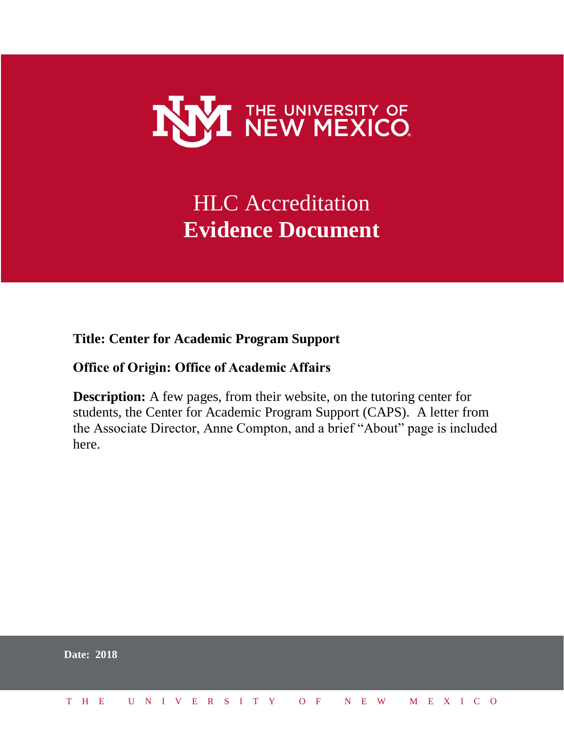

# HLC Accreditation **Evidence Document**

**Title: Center for Academic Program Support**

### **Office of Origin: Office of Academic Affairs**

**Description:** A few pages, from their website, on the tutoring center for students, the Center for Academic Program Support (CAPS). A letter from the Associate Director, Anne Compton, and a brief "About" page is included here.

|  | <b>Date: 2018</b> |  |  |  |  |  |  |  |  |                          |  |  |  |  |
|--|-------------------|--|--|--|--|--|--|--|--|--------------------------|--|--|--|--|
|  | T H E             |  |  |  |  |  |  |  |  | UNIVERSITY OF NEW MEXICO |  |  |  |  |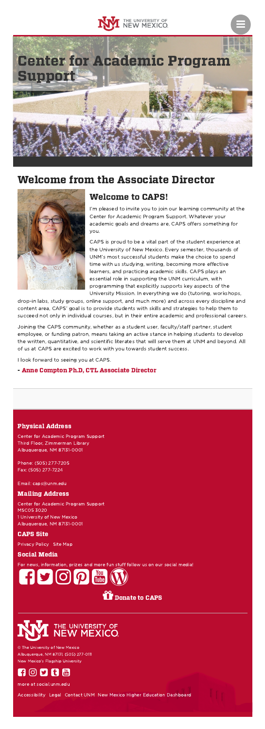

Ξ

# Welcome from the Associate Director



### Welcome to CAPS!

I'm pleased to invite you to join our learning community at the Center for Academic Program Support. Whatever your academic goals and dreams are, CAPS offers something for you.

CAPS is proud to be a vital part of the student experience at the University of New Mexico. Every semester, thousands of UNM's most successful students make the choice to spend time with us studying, writing, becoming more effective learners, and practicing academic skills. CAPS plays an essential role in supporting the UNM curriculum, with programming that explicitly supports key aspects of the University Mission. In everything we do (tutoring, workshops,

drop-in labs, study groups, online support, and much more) and across every discipline and content area, CAPS' goal is to provide students with skills and strategies to help them to succeed not only in individual courses, but in their entire academic and professional careers.

Joining the CAPS community, whether as a student user, faculty/staff partner, student employee, or funding patron, means taking an active stance in helping students to develop the written, quantitative, and scientific literates that will serve them at UNM and beyond. All of us at CAPS are excited to work with you towards student success.

I look forward to seeing you at CAPS.

### - Anne Compton Ph.D, CTL [Associate](http://ctl.unm.edu/about/staff/anne-compton.html) Director

#### Physical Address

Center for Academic Program Support Third Floor, Zimmerman Library Albuquerque, NM 87131-0001

Phone: (505) 277-7205 Fax: (505) 277-7224

Email: [caps@unm.edu](mailto:caps@unm.edu)

#### Mailing Address

Center for Academic Program Support MSC05 3020 1 University of New Mexico Albuquerque, NM 87131-0001

#### CAPS Site

[Privacy](https://caps.unm.edu/caps-privacy-policy.php) Policy Site [Map](https://caps.unm.edu/sitemap.xml)

#### Social Media

For news, information, prizes and more fun stuff follow us on our social media!





© The University of New Mexico Albuquerque, NM 87131, (505) 277-0111 New Mexico's Flagship University



more at [social.unm.edu](http://social.unm.edu/)

[Accessibility](http://www.unm.edu/accessibility.html) [Legal](http://www.unm.edu/legal.html) [Contact](http://www.unm.edu/contactunm.html) UNM New Mexico Higher Education [Dashboard](http://nmhedss2.state.nm.us/Dashboard/index.aspx?ID=21)